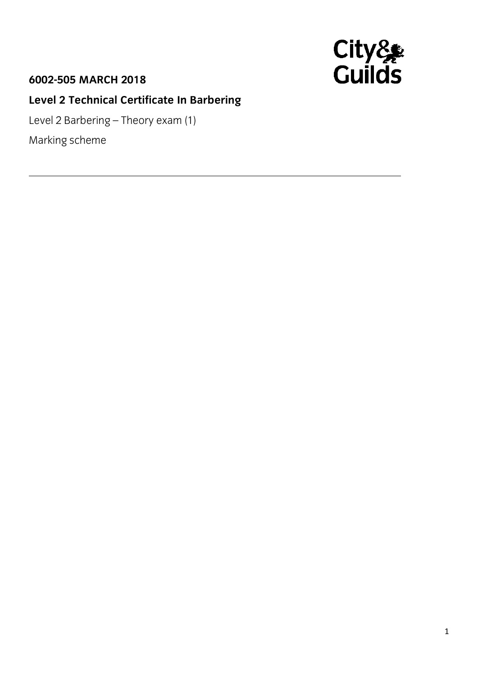## **6002-505 MARCH 2018**



## **Level 2 Technical Certificate In Barbering**

Level 2 Barbering – Theory exam (1)

Marking scheme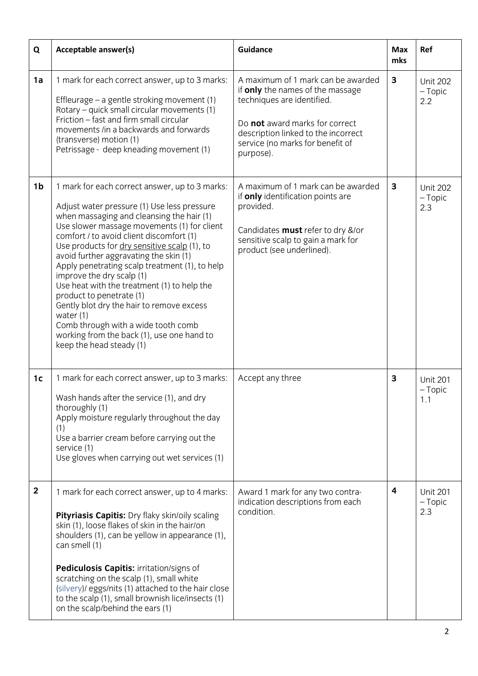| Q                | Acceptable answer(s)                                                                                                                                                                                                                                                                                                                                                                                                                                                                                                                                                                                                                                                   | <b>Guidance</b>                                                                                                                                                                                                                | <b>Max</b><br>mks | Ref                                 |
|------------------|------------------------------------------------------------------------------------------------------------------------------------------------------------------------------------------------------------------------------------------------------------------------------------------------------------------------------------------------------------------------------------------------------------------------------------------------------------------------------------------------------------------------------------------------------------------------------------------------------------------------------------------------------------------------|--------------------------------------------------------------------------------------------------------------------------------------------------------------------------------------------------------------------------------|-------------------|-------------------------------------|
| 1a               | 1 mark for each correct answer, up to 3 marks:<br>Effleurage – a gentle stroking movement (1)<br>Rotary – quick small circular movements (1)<br>Friction - fast and firm small circular<br>movements /in a backwards and forwards<br>(transverse) motion (1)<br>Petrissage - deep kneading movement (1)                                                                                                                                                                                                                                                                                                                                                                | A maximum of 1 mark can be awarded<br>if only the names of the massage<br>techniques are identified.<br>Do not award marks for correct<br>description linked to the incorrect<br>service (no marks for benefit of<br>purpose). | $\mathbf{3}$      | <b>Unit 202</b><br>$-$ Topic<br>2.2 |
| 1 <sub>b</sub>   | 1 mark for each correct answer, up to 3 marks:<br>Adjust water pressure (1) Use less pressure<br>when massaging and cleansing the hair (1)<br>Use slower massage movements (1) for client<br>comfort / to avoid client discomfort (1)<br>Use products for dry sensitive scalp (1), to<br>avoid further aggravating the skin (1)<br>Apply penetrating scalp treatment (1), to help<br>improve the dry scalp (1)<br>Use heat with the treatment (1) to help the<br>product to penetrate (1)<br>Gently blot dry the hair to remove excess<br>water $(1)$<br>Comb through with a wide tooth comb<br>working from the back (1), use one hand to<br>keep the head steady (1) | A maximum of 1 mark can be awarded<br>if only identification points are<br>provided.<br>Candidates must refer to dry &/or<br>sensitive scalp to gain a mark for<br>product (see underlined).                                   | $\mathbf{3}$      | <b>Unit 202</b><br>$-$ Topic<br>2.3 |
| 1 <sub>c</sub>   | 1 mark for each correct answer, up to 3 marks:<br>Wash hands after the service (1), and dry<br>thoroughly (1)<br>Apply moisture regularly throughout the day<br>(1)<br>Use a barrier cream before carrying out the<br>service (1)<br>Use gloves when carrying out wet services (1)                                                                                                                                                                                                                                                                                                                                                                                     | Accept any three                                                                                                                                                                                                               | 3                 | <b>Unit 201</b><br>$-$ Topic<br>1.1 |
| $\boldsymbol{2}$ | 1 mark for each correct answer, up to 4 marks:<br>Pityriasis Capitis: Dry flaky skin/oily scaling<br>skin (1), loose flakes of skin in the hair/on<br>shoulders (1), can be yellow in appearance (1),<br>can smell (1)<br>Pediculosis Capitis: irritation/signs of<br>scratching on the scalp (1), small white<br>(silvery)/ eggs/nits (1) attached to the hair close<br>to the scalp (1), small brownish lice/insects (1)<br>on the scalp/behind the ears (1)                                                                                                                                                                                                         | Award 1 mark for any two contra-<br>indication descriptions from each<br>condition.                                                                                                                                            | 4                 | <b>Unit 201</b><br>$-$ Topic<br>2.3 |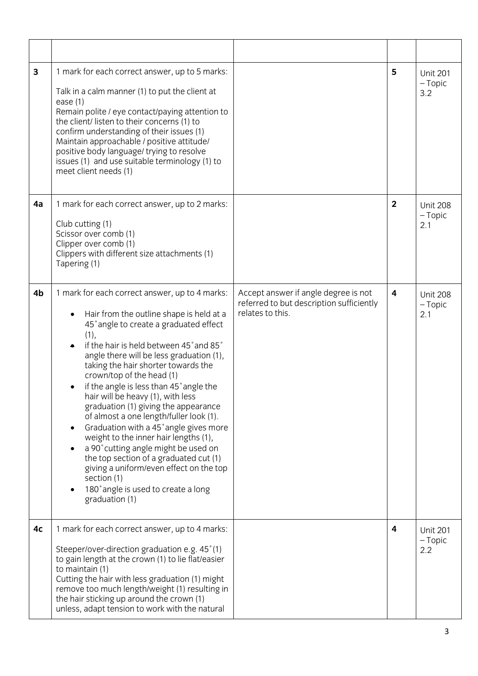| 3  | 1 mark for each correct answer, up to 5 marks:<br>Talk in a calm manner (1) to put the client at<br>ease $(1)$<br>Remain polite / eye contact/paying attention to<br>the client/listen to their concerns (1) to<br>confirm understanding of their issues (1)<br>Maintain approachable / positive attitude/<br>positive body language/ trying to resolve<br>issues (1) and use suitable terminology (1) to<br>meet client needs (1)                                                                                                                                                                                                                                                                                                                                                                        |                                                                                                      | 5                       | <b>Unit 201</b><br>$-$ Topic<br>3.2 |
|----|-----------------------------------------------------------------------------------------------------------------------------------------------------------------------------------------------------------------------------------------------------------------------------------------------------------------------------------------------------------------------------------------------------------------------------------------------------------------------------------------------------------------------------------------------------------------------------------------------------------------------------------------------------------------------------------------------------------------------------------------------------------------------------------------------------------|------------------------------------------------------------------------------------------------------|-------------------------|-------------------------------------|
| 4a | 1 mark for each correct answer, up to 2 marks:<br>Club cutting (1)<br>Scissor over comb (1)<br>Clipper over comb (1)<br>Clippers with different size attachments (1)<br>Tapering (1)                                                                                                                                                                                                                                                                                                                                                                                                                                                                                                                                                                                                                      |                                                                                                      | $\overline{2}$          | <b>Unit 208</b><br>$-$ Topic<br>2.1 |
| 4b | 1 mark for each correct answer, up to 4 marks:<br>Hair from the outline shape is held at a<br>$\bullet$<br>45° angle to create a graduated effect<br>(1),<br>if the hair is held between 45° and 85°<br>angle there will be less graduation (1),<br>taking the hair shorter towards the<br>crown/top of the head (1)<br>if the angle is less than 45° angle the<br>hair will be heavy (1), with less<br>graduation (1) giving the appearance<br>of almost a one length/fuller look (1).<br>Graduation with a 45° angle gives more<br>$\bullet$<br>weight to the inner hair lengths (1),<br>a 90° cutting angle might be used on<br>$\bullet$<br>the top section of a graduated cut (1)<br>giving a uniform/even effect on the top<br>section (1)<br>180° angle is used to create a long<br>graduation (1) | Accept answer if angle degree is not<br>referred to but description sufficiently<br>relates to this. | $\overline{\mathbf{4}}$ | <b>Unit 208</b><br>$-$ Topic<br>2.1 |
| 4c | 1 mark for each correct answer, up to 4 marks:<br>Steeper/over-direction graduation e.g. 45°(1)<br>to gain length at the crown (1) to lie flat/easier<br>to maintain (1)<br>Cutting the hair with less graduation (1) might<br>remove too much length/weight (1) resulting in<br>the hair sticking up around the crown (1)<br>unless, adapt tension to work with the natural                                                                                                                                                                                                                                                                                                                                                                                                                              |                                                                                                      | 4                       | <b>Unit 201</b><br>$-$ Topic<br>2.2 |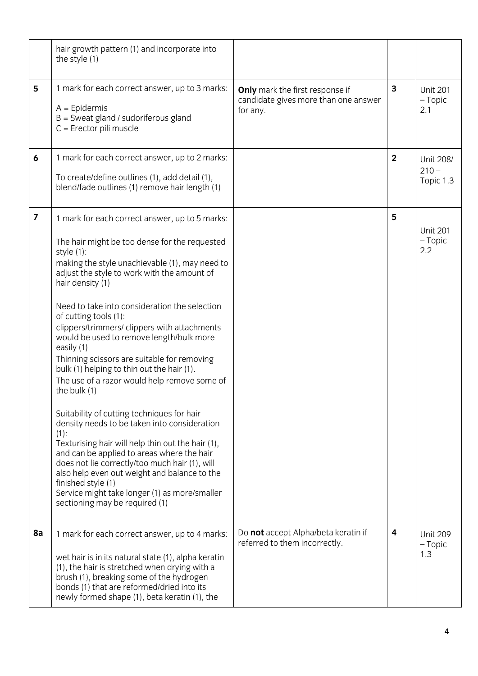|                         | hair growth pattern (1) and incorporate into<br>the style (1)                                                                                                                                                                                                                                                                                                                                                                                                                                                                                                                                                                                                                                                                                                                                                                                                                                                                                                                                              |                                                                                            |                |                                     |
|-------------------------|------------------------------------------------------------------------------------------------------------------------------------------------------------------------------------------------------------------------------------------------------------------------------------------------------------------------------------------------------------------------------------------------------------------------------------------------------------------------------------------------------------------------------------------------------------------------------------------------------------------------------------------------------------------------------------------------------------------------------------------------------------------------------------------------------------------------------------------------------------------------------------------------------------------------------------------------------------------------------------------------------------|--------------------------------------------------------------------------------------------|----------------|-------------------------------------|
| 5                       | 1 mark for each correct answer, up to 3 marks:<br>$A =$ Epidermis<br>$B =$ Sweat gland / sudoriferous gland<br>$C =$ Erector pili muscle                                                                                                                                                                                                                                                                                                                                                                                                                                                                                                                                                                                                                                                                                                                                                                                                                                                                   | <b>Only</b> mark the first response if<br>candidate gives more than one answer<br>for any. | 3              | <b>Unit 201</b><br>$-$ Topic<br>2.1 |
| 6                       | 1 mark for each correct answer, up to 2 marks:<br>To create/define outlines (1), add detail (1),<br>blend/fade outlines (1) remove hair length (1)                                                                                                                                                                                                                                                                                                                                                                                                                                                                                                                                                                                                                                                                                                                                                                                                                                                         |                                                                                            | $\overline{2}$ | Unit 208/<br>$210 -$<br>Topic 1.3   |
| $\overline{\mathbf{z}}$ | 1 mark for each correct answer, up to 5 marks:<br>The hair might be too dense for the requested<br>style (1):<br>making the style unachievable (1), may need to<br>adjust the style to work with the amount of<br>hair density (1)<br>Need to take into consideration the selection<br>of cutting tools (1):<br>clippers/trimmers/ clippers with attachments<br>would be used to remove length/bulk more<br>easily (1)<br>Thinning scissors are suitable for removing<br>bulk (1) helping to thin out the hair (1).<br>The use of a razor would help remove some of<br>the bulk (1)<br>Suitability of cutting techniques for hair<br>density needs to be taken into consideration<br>$(1)$ :<br>Texturising hair will help thin out the hair (1),<br>and can be applied to areas where the hair<br>does not lie correctly/too much hair (1), will<br>also help even out weight and balance to the<br>finished style (1)<br>Service might take longer (1) as more/smaller<br>sectioning may be required (1) |                                                                                            | 5              | <b>Unit 201</b><br>$-$ Topic<br>2.2 |
| 8a                      | 1 mark for each correct answer, up to 4 marks:<br>wet hair is in its natural state (1), alpha keratin<br>(1), the hair is stretched when drying with a<br>brush (1), breaking some of the hydrogen<br>bonds (1) that are reformed/dried into its<br>newly formed shape (1), beta keratin (1), the                                                                                                                                                                                                                                                                                                                                                                                                                                                                                                                                                                                                                                                                                                          | Do not accept Alpha/beta keratin if<br>referred to them incorrectly.                       | 4              | <b>Unit 209</b><br>$-$ Topic<br>1.3 |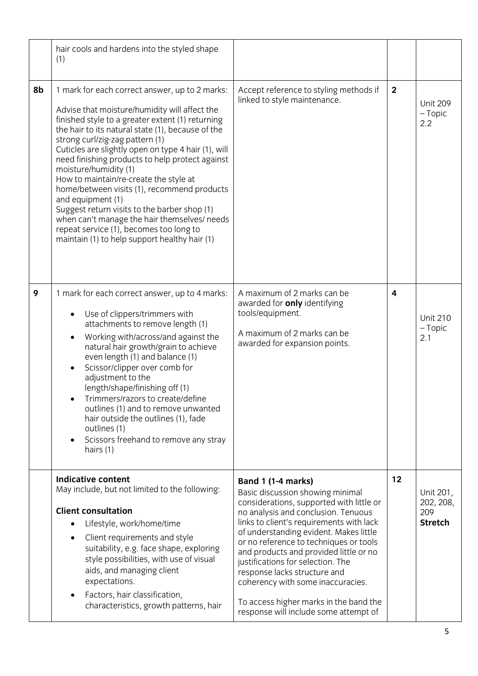|    | hair cools and hardens into the styled shape<br>(1)                                                                                                                                                                                                                                                                                                                                                                                                                                                                                                                                                                                                                                      |                                                                                                                                                                                                                                                                                                                                                                                                                                                                                                                  |                |                                                 |
|----|------------------------------------------------------------------------------------------------------------------------------------------------------------------------------------------------------------------------------------------------------------------------------------------------------------------------------------------------------------------------------------------------------------------------------------------------------------------------------------------------------------------------------------------------------------------------------------------------------------------------------------------------------------------------------------------|------------------------------------------------------------------------------------------------------------------------------------------------------------------------------------------------------------------------------------------------------------------------------------------------------------------------------------------------------------------------------------------------------------------------------------------------------------------------------------------------------------------|----------------|-------------------------------------------------|
| 8b | 1 mark for each correct answer, up to 2 marks:<br>Advise that moisture/humidity will affect the<br>finished style to a greater extent (1) returning<br>the hair to its natural state (1), because of the<br>strong curl/zig-zag pattern (1)<br>Cuticles are slightly open on type 4 hair (1), will<br>need finishing products to help protect against<br>moisture/humidity (1)<br>How to maintain/re-create the style at<br>home/between visits (1), recommend products<br>and equipment (1)<br>Suggest return visits to the barber shop (1)<br>when can't manage the hair themselves/ needs<br>repeat service (1), becomes too long to<br>maintain (1) to help support healthy hair (1) | Accept reference to styling methods if<br>linked to style maintenance.                                                                                                                                                                                                                                                                                                                                                                                                                                           | $\overline{2}$ | <b>Unit 209</b><br>$-$ Topic<br>2.2             |
| 9  | 1 mark for each correct answer, up to 4 marks:<br>Use of clippers/trimmers with<br>$\bullet$<br>attachments to remove length (1)<br>Working with/across/and against the<br>$\bullet$<br>natural hair growth/grain to achieve<br>even length (1) and balance (1)<br>Scissor/clipper over comb for<br>$\bullet$<br>adjustment to the<br>length/shape/finishing off (1)<br>Trimmers/razors to create/define<br>outlines (1) and to remove unwanted<br>hair outside the outlines (1), fade<br>outlines (1)<br>Scissors freehand to remove any stray<br>$\bullet$<br>hairs (1)                                                                                                                | A maximum of 2 marks can be<br>awarded for only identifying<br>tools/equipment.<br>A maximum of 2 marks can be<br>awarded for expansion points.                                                                                                                                                                                                                                                                                                                                                                  | 4              | <b>Unit 210</b><br>$-$ Topic<br>2.1             |
|    | <b>Indicative content</b><br>May include, but not limited to the following:<br><b>Client consultation</b><br>Lifestyle, work/home/time<br>Client requirements and style<br>suitability, e.g. face shape, exploring<br>style possibilities, with use of visual<br>aids, and managing client<br>expectations.<br>Factors, hair classification,<br>characteristics, growth patterns, hair                                                                                                                                                                                                                                                                                                   | Band 1 (1-4 marks)<br>Basic discussion showing minimal<br>considerations, supported with little or<br>no analysis and conclusion. Tenuous<br>links to client's requirements with lack<br>of understanding evident. Makes little<br>or no reference to techniques or tools<br>and products and provided little or no<br>justifications for selection. The<br>response lacks structure and<br>coherency with some inaccuracies.<br>To access higher marks in the band the<br>response will include some attempt of | 12             | Unit 201,<br>202, 208,<br>209<br><b>Stretch</b> |